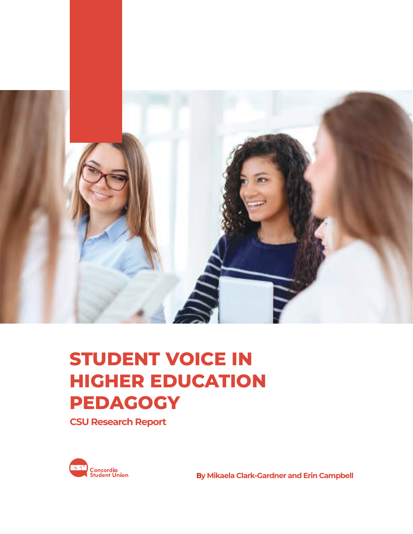

# **STUDENT VOICE IN HIGHER EDUCATION PEDAGOGY**

**CSU Research Report**



**By Mikaela Clark-Gardner and Erin Campbell**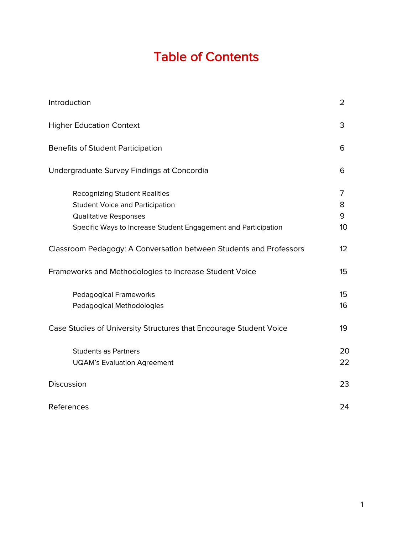# Table of Contents

| Introduction                                                                                                                                                              | 2                              |
|---------------------------------------------------------------------------------------------------------------------------------------------------------------------------|--------------------------------|
| <b>Higher Education Context</b>                                                                                                                                           | 3                              |
| <b>Benefits of Student Participation</b>                                                                                                                                  | 6                              |
| Undergraduate Survey Findings at Concordia                                                                                                                                | 6                              |
| <b>Recognizing Student Realities</b><br><b>Student Voice and Participation</b><br>Qualitative Responses<br>Specific Ways to Increase Student Engagement and Participation | 7<br>8<br>9<br>10 <sup>1</sup> |
| Classroom Pedagogy: A Conversation between Students and Professors                                                                                                        | 12                             |
| Frameworks and Methodologies to Increase Student Voice                                                                                                                    | 15                             |
| <b>Pedagogical Frameworks</b><br>Pedagogical Methodologies                                                                                                                | 15<br>16                       |
| Case Studies of University Structures that Encourage Student Voice                                                                                                        | 19                             |
| <b>Students as Partners</b><br><b>UQAM's Evaluation Agreement</b>                                                                                                         | 20<br>22                       |
| Discussion                                                                                                                                                                | 23                             |
| References                                                                                                                                                                | 24                             |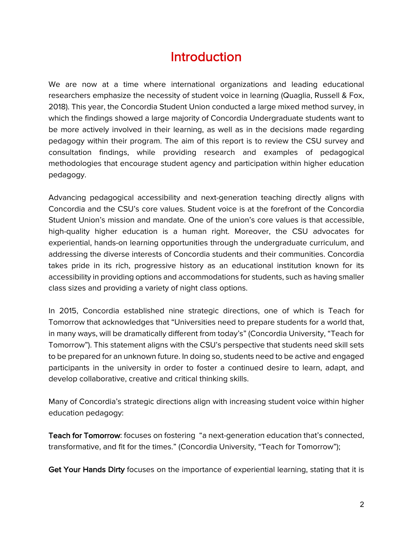## **Introduction**

We are now at a time where international organizations and leading educational researchers emphasize the necessity of student voice in learning (Quaglia, Russell & Fox, 2018). This year, the Concordia Student Union conducted a large mixed method survey, in which the findings showed a large majority of Concordia Undergraduate students want to be more actively involved in their learning, as well as in the decisions made regarding pedagogy within their program. The aim of this report is to review the CSU survey and consultation findings, while providing research and examples of pedagogical methodologies that encourage student agency and participation within higher education pedagogy.

Advancing pedagogical accessibility and next-generation teaching directly aligns with Concordia and the CSU's core values. Student voice is at the forefront of the Concordia Student Union's mission and mandate. One of the union's core values is that accessible, high-quality higher education is a human right. Moreover, the CSU advocates for experiential, hands-on learning opportunities through the undergraduate curriculum, and addressing the diverse interests of Concordia students and their communities. Concordia takes pride in its rich, progressive history as an educational institution known for its accessibility in providing options and accommodations for students, such as having smaller class sizes and providing a variety of night class options.

In 2015, Concordia established nine strategic directions, one of which is Teach for Tomorrow that acknowledges that "Universities need to prepare students for a world that, in many ways, will be dramatically different from today's" (Concordia University, "Teach for Tomorrow"). This statement aligns with the CSU's perspective that students need skill sets to be prepared for an unknown future. In doing so, students need to be active and engaged participants in the university in order to foster a continued desire to learn, adapt, and develop collaborative, creative and critical thinking skills.

Many of Concordia's strategic directions align with increasing student voice within higher education pedagogy:

Teach for Tomorrow: focuses on fostering "a next-generation education that's connected, transformative, and fit for the times." (Concordia University, "Teach for Tomorrow");

Get Your Hands Dirty focuses on the importance of experiential learning, stating that it is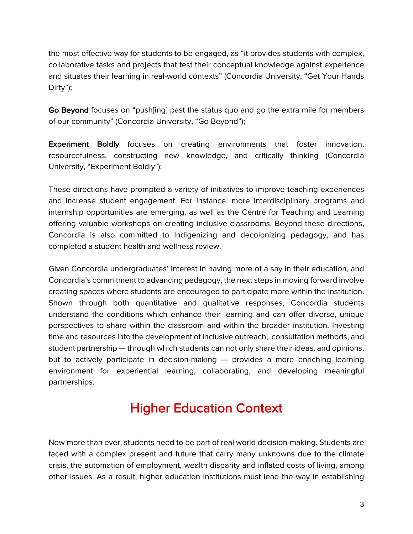the most effective way for students to be engaged, as "it provides students with complex, collaborative tasks and projects that test their conceptual knowledge against experience and situates their learning in real-world contexts" (Concordia University, "Get Your Hands Dirty");

Go Beyond focuses on "push[ing] past the status quo and go the extra mile for members of our community" (Concordia University, "Go Beyond");

Experiment Boldly focuses on creating environments that foster innovation, resourcefulness, constructing new knowledge, and critically thinking (Concordia University, "Experiment Boldly");

These directions have prompted a variety of initiatives to improve teaching experiences and increase student engagement. For instance, more interdisciplinary programs and internship opportunities are emerging, as well as the Centre for Teaching and Learning offering valuable workshops on creating inclusive classrooms. Beyond these directions, Concordia is also committed to Indigenizing and decolonizing pedagogy, and has completed a student health and wellness review.

Given Concordia undergraduates' interest in having more of a say in their education, and Concordia's commitment to advancing pedagogy, the next steps in moving forward involve creating spaces where students are encouraged to participate more within the institution. Shown through both quantitative and qualitative responses, Concordia students understand the conditions which enhance their learning and can offer diverse, unique perspectives to share within the classroom and within the broader institution. Investing time and resources into the development of inclusive outreach, consultation methods, and student partnership — through which students can not only share their ideas, and opinions, but to actively participate in decision-making — provides a more enriching learning environment for experiential learning, collaborating, and developing meaningful partnerships.

## Higher Education Context

Now more than ever, students need to be part of real world decision-making. Students are faced with a complex present and future that carry many unknowns due to the climate crisis, the automation of employment, wealth disparity and inflated costs of living, among other issues. As a result, higher education institutions must lead the way in establishing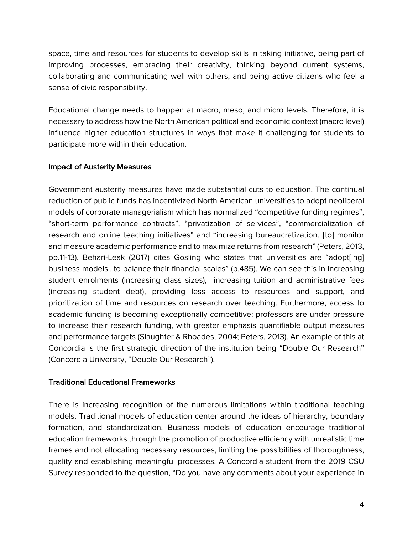space, time and resources for students to develop skills in taking initiative, being part of improving processes, embracing their creativity, thinking beyond current systems, collaborating and communicating well with others, and being active citizens who feel a sense of civic responsibility.

Educational change needs to happen at macro, meso, and micro levels. Therefore, it is necessary to address how the North American political and economic context (macro level) influence higher education structures in ways that make it challenging for students to participate more within their education.

#### Impact of Austerity Measures

Government austerity measures have made substantial cuts to education. The continual reduction of public funds has incentivized North American universities to adopt neoliberal models of corporate managerialism which has normalized "competitive funding regimes", "short-term performance contracts", "privatization of services", "commercialization of research and online teaching initiatives" and "increasing bureaucratization…[to] monitor and measure academic performance and to maximize returns from research" (Peters, 2013, pp.11-13). Behari-Leak (2017) cites Gosling who states that universities are "adopt[ing] business models…to balance their financial scales" (p.485). We can see this in increasing student enrolments (increasing class sizes), increasing tuition and administrative fees (increasing student debt), providing less access to resources and support, and prioritization of time and resources on research over teaching. Furthermore, access to academic funding is becoming exceptionally competitive: professors are under pressure to increase their research funding, with greater emphasis quantifiable output measures and performance targets (Slaughter & Rhoades, 2004; Peters, 2013). An example of this at Concordia is the first strategic direction of the institution being "Double Our Research" (Concordia University, "Double Our Research").

#### Traditional Educational Frameworks

There is increasing recognition of the numerous limitations within traditional teaching models. Traditional models of education center around the ideas of hierarchy, boundary formation, and standardization. Business models of education encourage traditional education frameworks through the promotion of productive efficiency with unrealistic time frames and not allocating necessary resources, limiting the possibilities of thoroughness, quality and establishing meaningful processes. A Concordia student from the 2019 CSU Survey responded to the question, "Do you have any comments about your experience in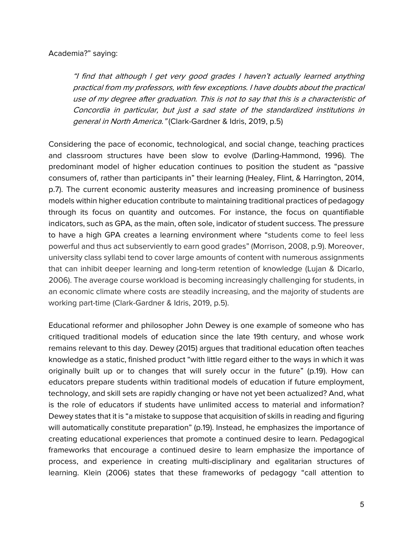#### Academia?" saying:

"I find that although I get very good grades I haven't actually learned anything practical from my professors, with few exceptions. I have doubts about the practical use of my degree after graduation. This is not to say that this is a characteristic of Concordia in particular, but just a sad state of the standardized institutions in general in North America." (Clark-Gardner & Idris, 2019, p.5)

Considering the pace of economic, technological, and social change, teaching practices and classroom structures have been slow to evolve (Darling-Hammond, 1996). The predominant model of higher education continues to position the student as "passive consumers of, rather than participants in" their learning (Healey, Flint, & Harrington, 2014, p.7). The current economic austerity measures and increasing prominence of business models within higher education contribute to maintaining traditional practices of pedagogy through its focus on quantity and outcomes. For instance, the focus on quantifiable indicators, such as GPA, as the main, often sole, indicator of student success. The pressure to have a high GPA creates a learning environment where "students come to feel less powerful and thus act subserviently to earn good grades" (Morrison, 2008, p.9). Moreover, university class syllabi tend to cover large amounts of content with numerous assignments that can inhibit deeper learning and long-term retention of knowledge (Lujan & Dicarlo, 2006). The average course workload is becoming increasingly challenging for students, in an economic climate where costs are steadily increasing, and the majority of students are working part-time (Clark-Gardner & Idris, 2019, p.5).

Educational reformer and philosopher John Dewey is one example of someone who has critiqued traditional models of education since the late 19th century, and whose work remains relevant to this day. Dewey (2015) argues that traditional education often teaches knowledge as a static, finished product "with little regard either to the ways in which it was originally built up or to changes that will surely occur in the future" (p.19). How can educators prepare students within traditional models of education if future employment, technology, and skill sets are rapidly changing or have not yet been actualized? And, what is the role of educators if students have unlimited access to material and information? Dewey states that it is "a mistake to suppose that acquisition of skills in reading and figuring will automatically constitute preparation" (p.19). Instead, he emphasizes the importance of creating educational experiences that promote a continued desire to learn. Pedagogical frameworks that encourage a continued desire to learn emphasize the importance of process, and experience in creating multi-disciplinary and egalitarian structures of learning. Klein (2006) states that these frameworks of pedagogy "call attention to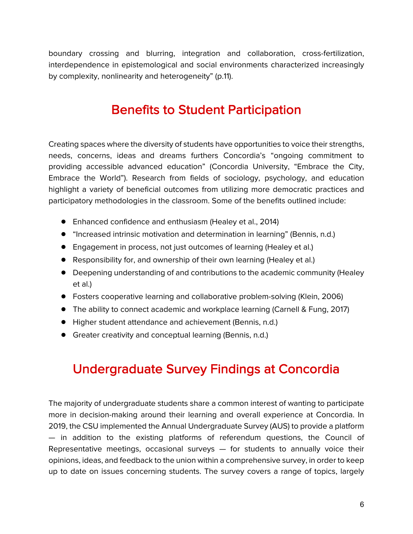boundary crossing and blurring, integration and collaboration, cross-fertilization, interdependence in epistemological and social environments characterized increasingly by complexity, nonlinearity and heterogeneity" (p.11).

## Benefits to Student Participation

Creating spaces where the diversity of students have opportunities to voice their strengths, needs, concerns, ideas and dreams furthers Concordia's "ongoing commitment to providing accessible advanced education" (Concordia University, "Embrace the City, Embrace the World"). Research from fields of sociology, psychology, and education highlight a variety of beneficial outcomes from utilizing more democratic practices and participatory methodologies in the classroom. Some of the benefits outlined include:

- Enhanced confidence and enthusiasm (Healey et al., 2014)
- "Increased intrinsic motivation and determination in learning" (Bennis, n.d.)
- Engagement in process, not just outcomes of learning (Healey et al.)
- Responsibility for, and ownership of their own learning (Healey et al.)
- Deepening understanding of and contributions to the academic community (Healey et al.)
- Fosters cooperative learning and collaborative problem-solving (Klein, 2006)
- The ability to connect academic and workplace learning (Carnell & Fung, 2017)
- Higher student attendance and achievement (Bennis, n.d.)
- Greater creativity and conceptual learning (Bennis, n.d.)

## Undergraduate Survey Findings at Concordia

The majority of undergraduate students share a common interest of wanting to participate more in decision-making around their learning and overall experience at Concordia. In 2019, the CSU implemented the Annual Undergraduate Survey (AUS) to provide a platform — in addition to the existing platforms of referendum questions, the Council of Representative meetings, occasional surveys  $-$  for students to annually voice their opinions, ideas, and feedback to the union within a comprehensive survey, in order to keep up to date on issues concerning students. The survey covers a range of topics, largely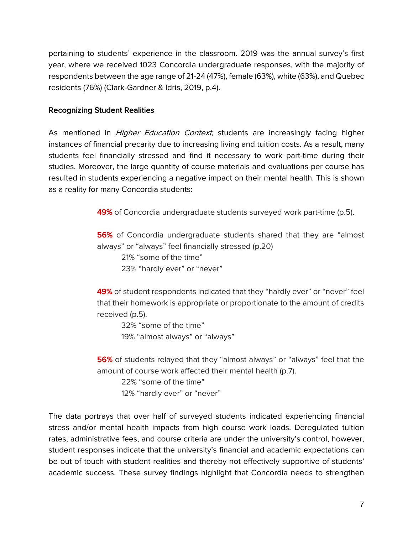pertaining to students' experience in the classroom. 2019 was the annual survey's first year, where we received 1023 Concordia undergraduate responses, with the majority of respondents between the age range of 21-24 (47%), female (63%), white (63%), and Quebec residents (76%) (Clark-Gardner & Idris, 2019, p.4).

#### Recognizing Student Realities

As mentioned in *Higher Education Context*, students are increasingly facing higher instances of financial precarity due to increasing living and tuition costs. As a result, many students feel financially stressed and find it necessary to work part-time during their studies. Moreover, the large quantity of course materials and evaluations per course has resulted in students experiencing a negative impact on their mental health. This is shown as a reality for many Concordia students:

49% of Concordia undergraduate students surveyed work part-time (p.5).

56% of Concordia undergraduate students shared that they are "almost always" or "always" feel financially stressed (p.20)

21% "some of the time" 23% "hardly ever" or "never"

49% of student respondents indicated that they "hardly ever" or "never" feel that their homework is appropriate or proportionate to the amount of credits received (p.5).

32% "some of the time" 19% "almost always" or "always"

56% of students relayed that they "almost always" or "always" feel that the amount of course work affected their mental health (p.7).

22% "some of the time" 12% "hardly ever" or "never"

The data portrays that over half of surveyed students indicated experiencing financial stress and/or mental health impacts from high course work loads. Deregulated tuition rates, administrative fees, and course criteria are under the university's control, however, student responses indicate that the university's financial and academic expectations can be out of touch with student realities and thereby not effectively supportive of students' academic success. These survey findings highlight that Concordia needs to strengthen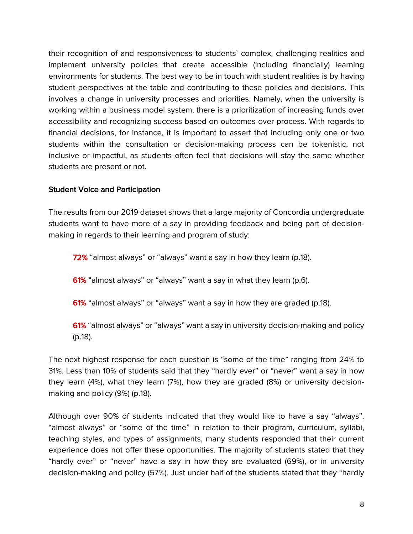their recognition of and responsiveness to students' complex, challenging realities and implement university policies that create accessible (including financially) learning environments for students. The best way to be in touch with student realities is by having student perspectives at the table and contributing to these policies and decisions. This involves a change in university processes and priorities. Namely, when the university is working within a business model system, there is a prioritization of increasing funds over accessibility and recognizing success based on outcomes over process. With regards to financial decisions, for instance, it is important to assert that including only one or two students within the consultation or decision-making process can be tokenistic, not inclusive or impactful, as students often feel that decisions will stay the same whether students are present or not.

#### Student Voice and Participation

The results from our 2019 dataset shows that a large majority of Concordia undergraduate students want to have more of a say in providing feedback and being part of decisionmaking in regards to their learning and program of study:

72% "almost always" or "always" want a say in how they learn (p.18).

61% "almost always" or "always" want a say in what they learn (p.6).

61% "almost always" or "always" want a say in how they are graded (p.18).

61% "almost always" or "always" want a say in university decision-making and policy (p.18).

The next highest response for each question is "some of the time" ranging from 24% to 31%. Less than 10% of students said that they "hardly ever" or "never" want a say in how they learn (4%), what they learn (7%), how they are graded (8%) or university decisionmaking and policy (9%) (p.18).

Although over 90% of students indicated that they would like to have a say "always", "almost always" or "some of the time" in relation to their program, curriculum, syllabi, teaching styles, and types of assignments, many students responded that their current experience does not offer these opportunities. The majority of students stated that they "hardly ever" or "never" have a say in how they are evaluated (69%), or in university decision-making and policy (57%). Just under half of the students stated that they "hardly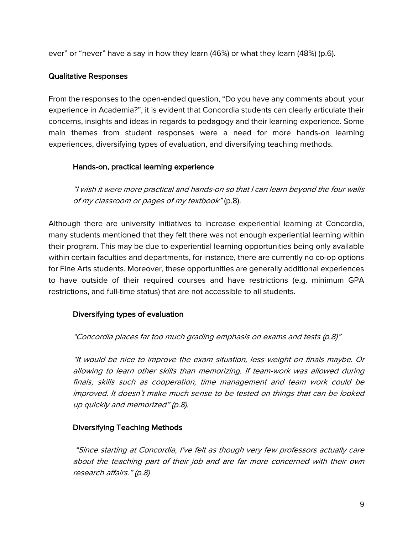ever" or "never" have a say in how they learn (46%) or what they learn (48%) (p.6).

#### Qualitative Responses

From the responses to the open-ended question, "Do you have any comments about your experience in Academia?", it is evident that Concordia students can clearly articulate their concerns, insights and ideas in regards to pedagogy and their learning experience. Some main themes from student responses were a need for more hands-on learning experiences, diversifying types of evaluation, and diversifying teaching methods.

#### Hands-on, practical learning experience

"I wish it were more practical and hands-on so that I can learn beyond the four walls of my classroom or pages of my textbook" (p.8).

Although there are university initiatives to increase experiential learning at Concordia, many students mentioned that they felt there was not enough experiential learning within their program. This may be due to experiential learning opportunities being only available within certain faculties and departments, for instance, there are currently no co-op options for Fine Arts students. Moreover, these opportunities are generally additional experiences to have outside of their required courses and have restrictions (e.g. minimum GPA restrictions, and full-time status) that are not accessible to all students.

#### Diversifying types of evaluation

#### "Concordia places far too much grading emphasis on exams and tests (p.8)"

"It would be nice to improve the exam situation, less weight on finals maybe. Or allowing to learn other skills than memorizing. If team-work was allowed during finals, skills such as cooperation, time management and team work could be improved. It doesn't make much sense to be tested on things that can be looked up quickly and memorized" (p.8).

#### Diversifying Teaching Methods

"Since starting at Concordia, I've felt as though very few professors actually care about the teaching part of their job and are far more concerned with their own research affairs." (p.8)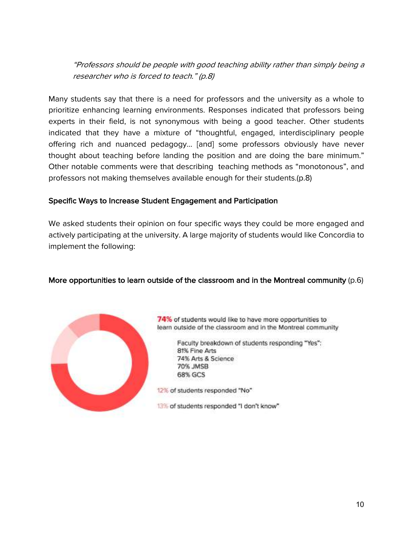"Professors should be people with good teaching ability rather than simply being a researcher who is forced to teach." (p.8)

Many students say that there is a need for professors and the university as a whole to prioritize enhancing learning environments. Responses indicated that professors being experts in their field, is not synonymous with being a good teacher. Other students indicated that they have a mixture of "thoughtful, engaged, interdisciplinary people offering rich and nuanced pedagogy… [and] some professors obviously have never thought about teaching before landing the position and are doing the bare minimum." Other notable comments were that describing teaching methods as "monotonous", and professors not making themselves available enough for their students.(p.8)

#### Specific Ways to Increase Student Engagement and Participation

We asked students their opinion on four specific ways they could be more engaged and actively participating at the university. A large majority of students would like Concordia to implement the following:

#### More opportunities to learn outside of the classroom and in the Montreal community (p.6)



74% of students would like to have more opportunities to learn outside of the classroom and in the Montreal community

> Faculty breakdown of students responding "Yes": 81% Fine Arts 74% Arts & Science 70% JMSB **68% GCS**

12% of students responded "No"

13% of students responded "I don't know"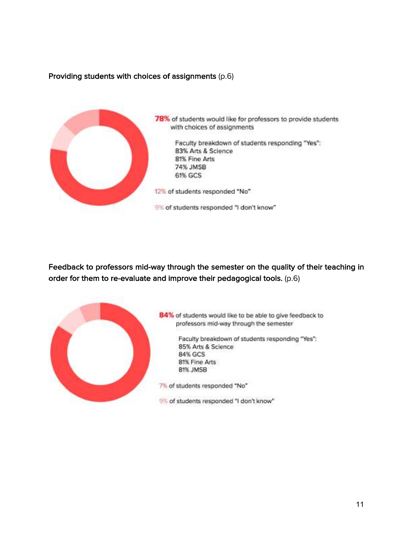#### Providing students with choices of assignments (p.6)



Feedback to professors mid-way through the semester on the quality of their teaching in order for them to re-evaluate and improve their pedagogical tools. (p.6)



84% of students would like to be able to give feedback to professors mid-way through the semester

> Faculty breakdown of students responding "Yes": 85% Arts & Science 84% GCS **81% Fine Arts** 81% JMSB

7% of students responded "No"

9% of students responded "I don't know"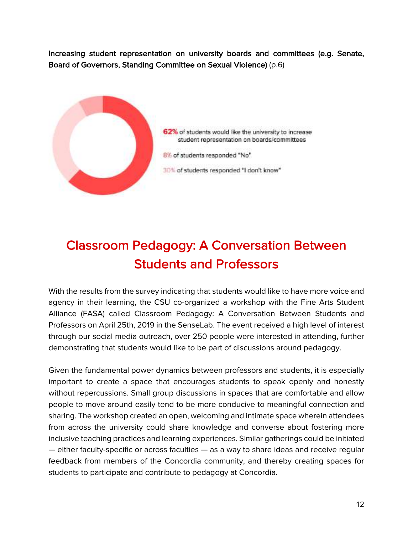Increasing student representation on university boards and committees (e.g. Senate, Board of Governors, Standing Committee on Sexual Violence) (p.6)



# Classroom Pedagogy: A Conversation Between Students and Professors

With the results from the survey indicating that students would like to have more voice and agency in their learning, the CSU co-organized a workshop with the Fine Arts Student Alliance (FASA) called Classroom Pedagogy: A Conversation Between Students and Professors on April 25th, 2019 in the SenseLab. The event received a high level of interest through our social media outreach, over 250 people were interested in attending, further demonstrating that students would like to be part of discussions around pedagogy.

Given the fundamental power dynamics between professors and students, it is especially important to create a space that encourages students to speak openly and honestly without repercussions. Small group discussions in spaces that are comfortable and allow people to move around easily tend to be more conducive to meaningful connection and sharing. The workshop created an open, welcoming and intimate space wherein attendees from across the university could share knowledge and converse about fostering more inclusive teaching practices and learning experiences. Similar gatherings could be initiated — either faculty-specific or across faculties — as a way to share ideas and receive regular feedback from members of the Concordia community, and thereby creating spaces for students to participate and contribute to pedagogy at Concordia.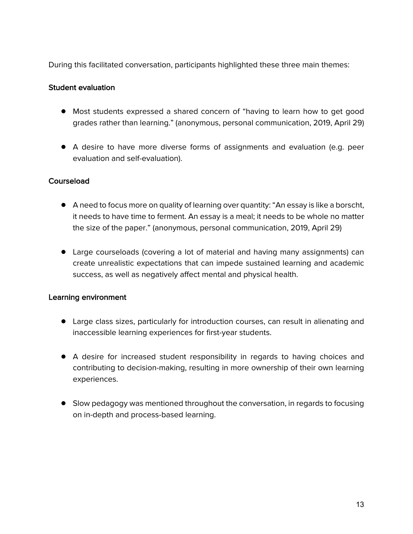During this facilitated conversation, participants highlighted these three main themes:

#### Student evaluation

- Most students expressed a shared concern of "having to learn how to get good grades rather than learning." (anonymous, personal communication, 2019, April 29)
- A desire to have more diverse forms of assignments and evaluation (e.g. peer evaluation and self-evaluation).

#### **Courseload**

- A need to focus more on quality of learning over quantity: "An essay is like a borscht, it needs to have time to ferment. An essay is a meal; it needs to be whole no matter the size of the paper." (anonymous, personal communication, 2019, April 29)
- Large courseloads (covering a lot of material and having many assignments) can create unrealistic expectations that can impede sustained learning and academic success, as well as negatively affect mental and physical health.

#### Learning environment

- Large class sizes, particularly for introduction courses, can result in alienating and inaccessible learning experiences for first-year students.
- A desire for increased student responsibility in regards to having choices and contributing to decision-making, resulting in more ownership of their own learning experiences.
- Slow pedagogy was mentioned throughout the conversation, in regards to focusing on in-depth and process-based learning.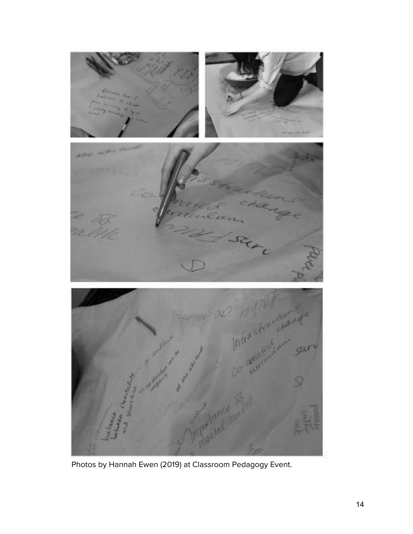

Photos by Hannah Ewen (2019) at Classroom Pedagogy Event.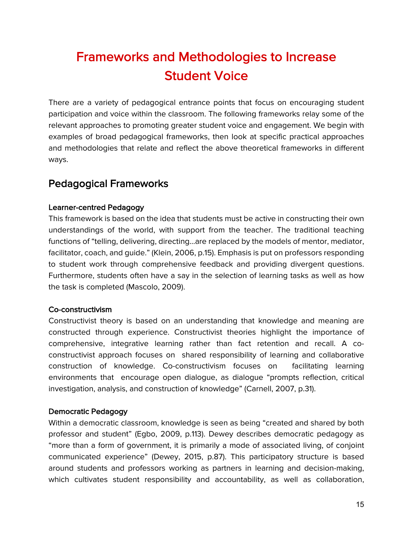# Frameworks and Methodologies to Increase Student Voice

There are a variety of pedagogical entrance points that focus on encouraging student participation and voice within the classroom. The following frameworks relay some of the relevant approaches to promoting greater student voice and engagement. We begin with examples of broad pedagogical frameworks, then look at specific practical approaches and methodologies that relate and reflect the above theoretical frameworks in different ways.

### Pedagogical Frameworks

#### Learner-centred Pedagogy

This framework is based on the idea that students must be active in constructing their own understandings of the world, with support from the teacher. The traditional teaching functions of "telling, delivering, directing...are replaced by the models of mentor, mediator, facilitator, coach, and guide." (Klein, 2006, p.15). Emphasis is put on professors responding to student work through comprehensive feedback and providing divergent questions. Furthermore, students often have a say in the selection of learning tasks as well as how the task is completed (Mascolo, 2009).

#### Co-constructivism

Constructivist theory is based on an understanding that knowledge and meaning are constructed through experience. Constructivist theories highlight the importance of comprehensive, integrative learning rather than fact retention and recall. A coconstructivist approach focuses on shared responsibility of learning and collaborative construction of knowledge. Co-constructivism focuses on facilitating learning environments that encourage open dialogue, as dialogue "prompts reflection, critical investigation, analysis, and construction of knowledge" (Carnell, 2007, p.31).

#### Democratic Pedagogy

Within a democratic classroom, knowledge is seen as being "created and shared by both professor and student" (Egbo, 2009, p.113). Dewey describes democratic pedagogy as "more than a form of government, it is primarily a mode of associated living, of conjoint communicated experience" (Dewey, 2015, p.87). This participatory structure is based around students and professors working as partners in learning and decision-making, which cultivates student responsibility and accountability, as well as collaboration,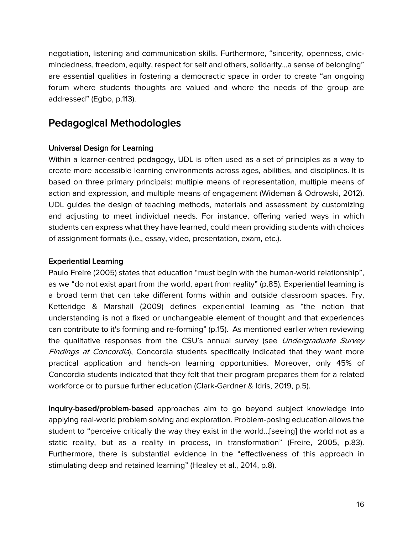negotiation, listening and communication skills. Furthermore, "sincerity, openness, civicmindedness, freedom, equity, respect for self and others, solidarity...a sense of belonging" are essential qualities in fostering a democractic space in order to create "an ongoing forum where students thoughts are valued and where the needs of the group are addressed" (Egbo, p.113).

### Pedagogical Methodologies

#### Universal Design for Learning

Within a learner-centred pedagogy, UDL is often used as a set of principles as a way to create more accessible learning environments across ages, abilities, and disciplines. It is based on three primary principals: multiple means of representation, multiple means of action and expression, and multiple means of engagement (Wideman & Odrowski, 2012). UDL guides the design of teaching methods, materials and assessment by customizing and adjusting to meet individual needs. For instance, offering varied ways in which students can express what they have learned, could mean providing students with choices of assignment formats (i.e., essay, video, presentation, exam, etc.).

#### Experiential Learning

Paulo Freire (2005) states that education "must begin with the human-world relationship", as we "do not exist apart from the world, apart from reality" (p.85). Experiential learning is a broad term that can take different forms within and outside classroom spaces. Fry, Ketteridge & Marshall (2009) defines experiential learning as "the notion that understanding is not a fixed or unchangeable element of thought and that experiences can contribute to it's forming and re-forming" (p.15). As mentioned earlier when reviewing the qualitative responses from the CSU's annual survey (see Undergraduate Survey Findings at Concordia), Concordia students specifically indicated that they want more practical application and hands-on learning opportunities. Moreover, only 45% of Concordia students indicated that they felt that their program prepares them for a related workforce or to pursue further education (Clark-Gardner & Idris, 2019, p.5).

Inquiry-based/problem-based approaches aim to go beyond subject knowledge into applying real-world problem solving and exploration. Problem-posing education allows the student to "perceive critically the way they exist in the world…[seeing] the world not as a static reality, but as a reality in process, in transformation" (Freire, 2005, p.83). Furthermore, there is substantial evidence in the "effectiveness of this approach in stimulating deep and retained learning" (Healey et al., 2014, p.8).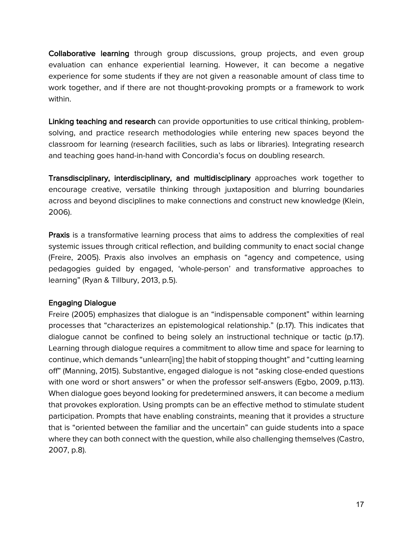Collaborative learning through group discussions, group projects, and even group evaluation can enhance experiential learning. However, it can become a negative experience for some students if they are not given a reasonable amount of class time to work together, and if there are not thought-provoking prompts or a framework to work within.

Linking teaching and research can provide opportunities to use critical thinking, problemsolving, and practice research methodologies while entering new spaces beyond the classroom for learning (research facilities, such as labs or libraries). Integrating research and teaching goes hand-in-hand with Concordia's focus on doubling research.

Transdisciplinary, interdisciplinary, and multidisciplinary approaches work together to encourage creative, versatile thinking through juxtaposition and blurring boundaries across and beyond disciplines to make connections and construct new knowledge (Klein, 2006).

Praxis is a transformative learning process that aims to address the complexities of real systemic issues through critical reflection, and building community to enact social change (Freire, 2005). Praxis also involves an emphasis on "agency and competence, using pedagogies guided by engaged, 'whole-person' and transformative approaches to learning" (Ryan & Tillbury, 2013, p.5).

#### Engaging Dialogue

Freire (2005) emphasizes that dialogue is an "indispensable component" within learning processes that "characterizes an epistemological relationship." (p.17). This indicates that dialogue cannot be confined to being solely an instructional technique or tactic (p.17). Learning through dialogue requires a commitment to allow time and space for learning to continue, which demands "unlearn[ing] the habit of stopping thought" and "cutting learning off" (Manning, 2015). Substantive, engaged dialogue is not "asking close-ended questions with one word or short answers" or when the professor self-answers (Egbo, 2009, p.113). When dialogue goes beyond looking for predetermined answers, it can become a medium that provokes exploration. Using prompts can be an effective method to stimulate student participation. Prompts that have enabling constraints, meaning that it provides a structure that is "oriented between the familiar and the uncertain" can guide students into a space where they can both connect with the question, while also challenging themselves (Castro, 2007, p.8).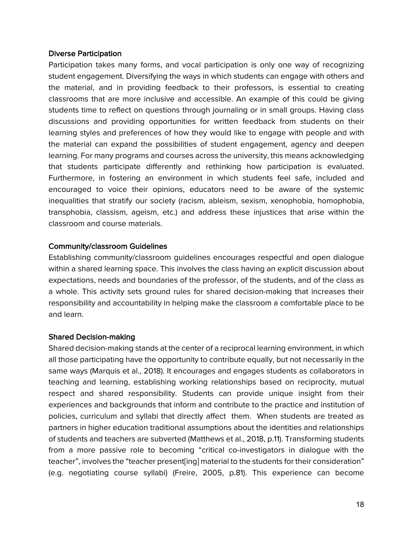#### Diverse Participation

Participation takes many forms, and vocal participation is only one way of recognizing student engagement. Diversifying the ways in which students can engage with others and the material, and in providing feedback to their professors, is essential to creating classrooms that are more inclusive and accessible. An example of this could be giving students time to reflect on questions through journaling or in small groups. Having class discussions and providing opportunities for written feedback from students on their learning styles and preferences of how they would like to engage with people and with the material can expand the possibilities of student engagement, agency and deepen learning. For many programs and courses across the university, this means acknowledging that students participate differently and rethinking how participation is evaluated. Furthermore, in fostering an environment in which students feel safe, included and encouraged to voice their opinions, educators need to be aware of the systemic inequalities that stratify our society (racism, ableism, sexism, xenophobia, homophobia, transphobia, classism, ageism, etc.) and address these injustices that arise within the classroom and course materials.

#### Community/classroom Guidelines

Establishing community/classroom guidelines encourages respectful and open dialogue within a shared learning space. This involves the class having an explicit discussion about expectations, needs and boundaries of the professor, of the students, and of the class as a whole. This activity sets ground rules for shared decision-making that increases their responsibility and accountability in helping make the classroom a comfortable place to be and learn.

#### Shared Decision-making

Shared decision-making stands at the center of a reciprocal learning environment, in which all those participating have the opportunity to contribute equally, but not necessarily in the same ways (Marquis et al., 2018). It encourages and engages students as collaborators in teaching and learning, establishing working relationships based on reciprocity, mutual respect and shared responsibility. Students can provide unique insight from their experiences and backgrounds that inform and contribute to the practice and institution of policies, curriculum and syllabi that directly affect them. When students are treated as partners in higher education traditional assumptions about the identities and relationships of students and teachers are subverted (Matthews et al., 2018, p.11). Transforming students from a more passive role to becoming "critical co-investigators in dialogue with the teacher", involves the "teacher present[ing] material to the students for their consideration" (e.g. negotiating course syllabi) (Freire, 2005, p.81). This experience can become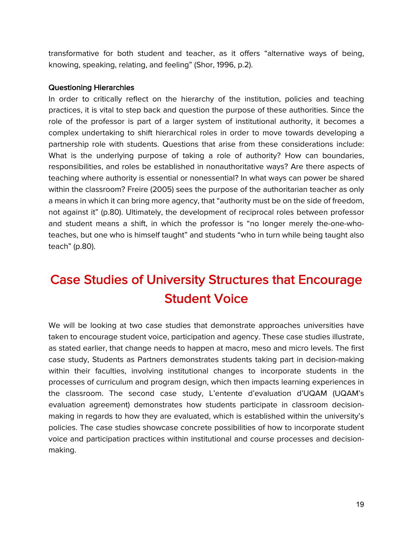transformative for both student and teacher, as it offers "alternative ways of being, knowing, speaking, relating, and feeling" (Shor, 1996, p.2).

#### Questioning Hierarchies

In order to critically reflect on the hierarchy of the institution, policies and teaching practices, it is vital to step back and question the purpose of these authorities. Since the role of the professor is part of a larger system of institutional authority, it becomes a complex undertaking to shift hierarchical roles in order to move towards developing a partnership role with students. Questions that arise from these considerations include: What is the underlying purpose of taking a role of authority? How can boundaries, responsibilities, and roles be established in nonauthoritative ways? Are there aspects of teaching where authority is essential or nonessential? In what ways can power be shared within the classroom? Freire (2005) sees the purpose of the authoritarian teacher as only a means in which it can bring more agency, that "authority must be on the side of freedom, not against it" (p.80). Ultimately, the development of reciprocal roles between professor and student means a shift, in which the professor is "no longer merely the-one-whoteaches, but one who is himself taught" and students "who in turn while being taught also teach" (p.80).

# Case Studies of University Structures that Encourage Student Voice

We will be looking at two case studies that demonstrate approaches universities have taken to encourage student voice, participation and agency. These case studies illustrate, as stated earlier, that change needs to happen at macro, meso and micro levels. The first case study, Students as Partners demonstrates students taking part in decision-making within their faculties, involving institutional changes to incorporate students in the processes of curriculum and program design, which then impacts learning experiences in the classroom. The second case study, L'entente d'evaluation d'UQAM (UQAM's evaluation agreement) demonstrates how students participate in classroom decisionmaking in regards to how they are evaluated, which is established within the university's policies. The case studies showcase concrete possibilities of how to incorporate student voice and participation practices within institutional and course processes and decisionmaking.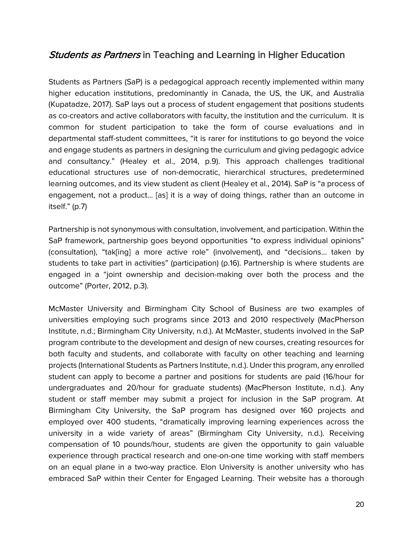### **Students as Partners in Teaching and Learning in Higher Education**

Students as Partners (SaP) is a pedagogical approach recently implemented within many higher education institutions, predominantly in Canada, the US, the UK, and Australia (Kupatadze, 2017). SaP lays out a process of student engagement that positions students as co-creators and active collaborators with faculty, the institution and the curriculum. It is common for student participation to take the form of course evaluations and in departmental staff-student committees, "it is rarer for institutions to go beyond the voice and engage students as partners in designing the curriculum and giving pedagogic advice and consultancy." (Healey et al., 2014, p.9). This approach challenges traditional educational structures use of non-democratic, hierarchical structures, predetermined learning outcomes, and its view student as client (Healey et al., 2014). SaP is "a process of engagement, not a product… [as] it is a way of doing things, rather than an outcome in itself." (p.7)

Partnership is not synonymous with consultation, involvement, and participation. Within the SaP framework, partnership goes beyond opportunities "to express individual opinions" (consultation), "tak[ing] a more active role" (involvement), and "decisions... taken by students to take part in activities" (participation) (p.16). Partnership is where students are engaged in a "joint ownership and decision-making over both the process and the outcome" (Porter, 2012, p.3).

McMaster University and Birmingham City School of Business are two examples of universities employing such programs since 2013 and 2010 respectively (MacPherson Institute, n.d.; Birmingham City University, n.d.). At McMaster, students involved in the SaP program contribute to the development and design of new courses, creating resources for both faculty and students, and collaborate with faculty on other teaching and learning projects (International Students as Partners Institute, n.d.). Under this program, any enrolled student can apply to become a partner and positions for students are paid (16/hour for undergraduates and 20/hour for graduate students) (MacPherson Institute, n.d.). Any student or staff member may submit a project for inclusion in the SaP program. At Birmingham City University, the SaP program has designed over 160 projects and employed over 400 students, "dramatically improving learning experiences across the university in a wide variety of areas" (Birmingham City University, n.d.). Receiving compensation of 10 pounds/hour, students are given the opportunity to gain valuable experience through practical research and one-on-one time working with staff members on an equal plane in a two-way practice. Elon University is another university who has embraced SaP within their Center for Engaged Learning. Their website has a thorough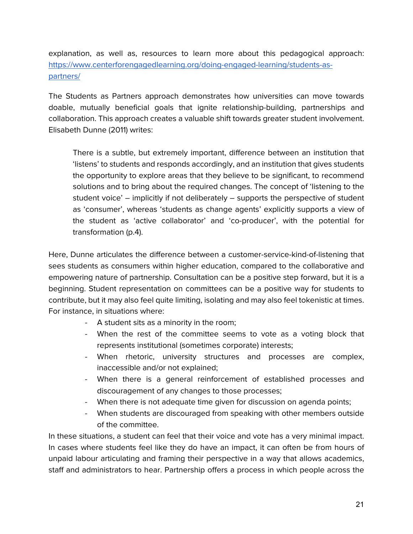explanation, as well as, resources to learn more about this pedagogical approach: https://www.centerforengagedlearning.org/doing-engaged-learning/students-aspartners/

The Students as Partners approach demonstrates how universities can move towards doable, mutually beneficial goals that ignite relationship-building, partnerships and collaboration. This approach creates a valuable shift towards greater student involvement. Elisabeth Dunne (2011) writes:

There is a subtle, but extremely important, difference between an institution that 'listens' to students and responds accordingly, and an institution that gives students the opportunity to explore areas that they believe to be significant, to recommend solutions and to bring about the required changes. The concept of 'listening to the student voice' – implicitly if not deliberately – supports the perspective of student as 'consumer', whereas 'students as change agents' explicitly supports a view of the student as 'active collaborator' and 'co-producer', with the potential for transformation (p.4).

Here, Dunne articulates the difference between a customer-service-kind-of-listening that sees students as consumers within higher education, compared to the collaborative and empowering nature of partnership. Consultation can be a positive step forward, but it is a beginning. Student representation on committees can be a positive way for students to contribute, but it may also feel quite limiting, isolating and may also feel tokenistic at times. For instance, in situations where:

- A student sits as a minority in the room;
- When the rest of the committee seems to vote as a voting block that represents institutional (sometimes corporate) interests;
- When rhetoric, university structures and processes are complex, inaccessible and/or not explained;
- When there is a general reinforcement of established processes and discouragement of any changes to those processes;
- When there is not adequate time given for discussion on agenda points;
- When students are discouraged from speaking with other members outside of the committee.

In these situations, a student can feel that their voice and vote has a very minimal impact. In cases where students feel like they do have an impact, it can often be from hours of unpaid labour articulating and framing their perspective in a way that allows academics, staff and administrators to hear. Partnership offers a process in which people across the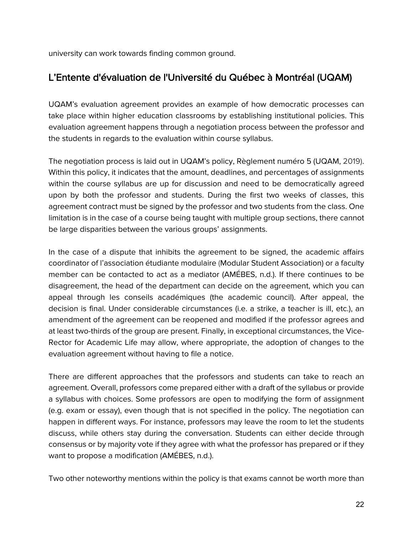university can work towards finding common ground.

### L'Entente d'évaluation de l'Université du Québec à Montréal (UQAM)

UQAM's evaluation agreement provides an example of how democratic processes can take place within higher education classrooms by establishing institutional policies. This evaluation agreement happens through a negotiation process between the professor and the students in regards to the evaluation within course syllabus.

The negotiation process is laid out in UQAM's policy, Règlement numéro 5 (UQAM, 2019). Within this policy, it indicates that the amount, deadlines, and percentages of assignments within the course syllabus are up for discussion and need to be democratically agreed upon by both the professor and students. During the first two weeks of classes, this agreement contract must be signed by the professor and two students from the class. One limitation is in the case of a course being taught with multiple group sections, there cannot be large disparities between the various groups' assignments.

In the case of a dispute that inhibits the agreement to be signed, the academic affairs coordinator of l'association étudiante modulaire (Modular Student Association) or a faculty member can be contacted to act as a mediator (AMÉBES, n.d.). If there continues to be disagreement, the head of the department can decide on the agreement, which you can appeal through les conseils académiques (the academic council). After appeal, the decision is final. Under considerable circumstances (i.e. a strike, a teacher is ill, etc.), an amendment of the agreement can be reopened and modified if the professor agrees and at least two-thirds of the group are present. Finally, in exceptional circumstances, the Vice-Rector for Academic Life may allow, where appropriate, the adoption of changes to the evaluation agreement without having to file a notice.

There are different approaches that the professors and students can take to reach an agreement. Overall, professors come prepared either with a draft of the syllabus or provide a syllabus with choices. Some professors are open to modifying the form of assignment (e.g. exam or essay), even though that is not specified in the policy. The negotiation can happen in different ways. For instance, professors may leave the room to let the students discuss, while others stay during the conversation. Students can either decide through consensus or by majority vote if they agree with what the professor has prepared or if they want to propose a modification (AMÉBES, n.d.).

Two other noteworthy mentions within the policy is that exams cannot be worth more than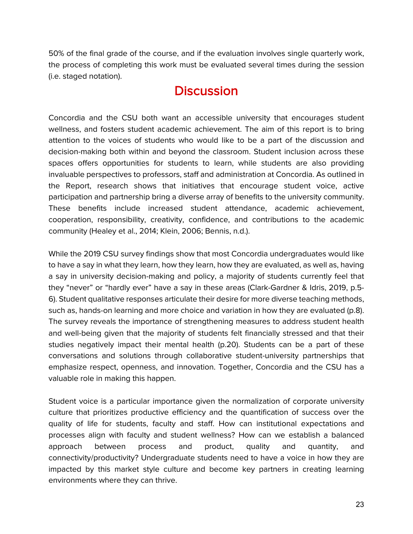50% of the final grade of the course, and if the evaluation involves single quarterly work, the process of completing this work must be evaluated several times during the session (i.e. staged notation).

## **Discussion**

Concordia and the CSU both want an accessible university that encourages student wellness, and fosters student academic achievement. The aim of this report is to bring attention to the voices of students who would like to be a part of the discussion and decision-making both within and beyond the classroom. Student inclusion across these spaces offers opportunities for students to learn, while students are also providing invaluable perspectives to professors, staff and administration at Concordia. As outlined in the Report, research shows that initiatives that encourage student voice, active participation and partnership bring a diverse array of benefits to the university community. These benefits include increased student attendance, academic achievement, cooperation, responsibility, creativity, confidence, and contributions to the academic community (Healey et al., 2014; Klein, 2006; Bennis, n.d.).

While the 2019 CSU survey findings show that most Concordia undergraduates would like to have a say in what they learn, how they learn, how they are evaluated, as well as, having a say in university decision-making and policy, a majority of students currently feel that they "never" or "hardly ever" have a say in these areas (Clark-Gardner & Idris, 2019, p.5- 6). Student qualitative responses articulate their desire for more diverse teaching methods, such as, hands-on learning and more choice and variation in how they are evaluated (p.8). The survey reveals the importance of strengthening measures to address student health and well-being given that the majority of students felt financially stressed and that their studies negatively impact their mental health (p.20). Students can be a part of these conversations and solutions through collaborative student-university partnerships that emphasize respect, openness, and innovation. Together, Concordia and the CSU has a valuable role in making this happen.

Student voice is a particular importance given the normalization of corporate university culture that prioritizes productive efficiency and the quantification of success over the quality of life for students, faculty and staff. How can institutional expectations and processes align with faculty and student wellness? How can we establish a balanced approach between process and product, quality and quantity, and connectivity/productivity? Undergraduate students need to have a voice in how they are impacted by this market style culture and become key partners in creating learning environments where they can thrive.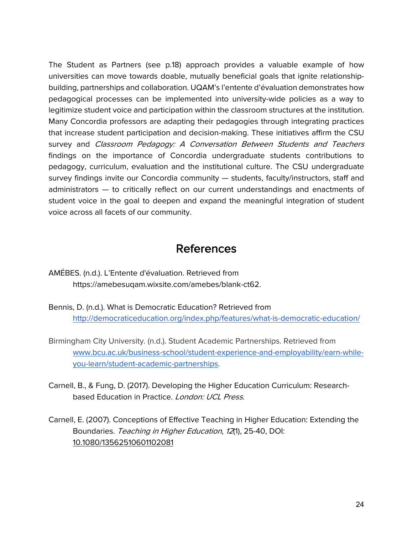The Student as Partners (see p.18) approach provides a valuable example of how universities can move towards doable, mutually beneficial goals that ignite relationshipbuilding, partnerships and collaboration. UQAM's l'entente d'évaluation demonstrates how pedagogical processes can be implemented into university-wide policies as a way to legitimize student voice and participation within the classroom structures at the institution. Many Concordia professors are adapting their pedagogies through integrating practices that increase student participation and decision-making. These initiatives affirm the CSU survey and Classroom Pedagogy: A Conversation Between Students and Teachers findings on the importance of Concordia undergraduate students contributions to pedagogy, curriculum, evaluation and the institutional culture. The CSU undergraduate survey findings invite our Concordia community — students, faculty/instructors, staff and administrators — to critically reflect on our current understandings and enactments of student voice in the goal to deepen and expand the meaningful integration of student voice across all facets of our community.

### References

- AMÉBES. (n.d.). L'Entente d'évaluation. Retrieved from https://amebesuqam.wixsite.com/amebes/blank-ct62.
- Bennis, D. (n.d.). What is Democratic Education? Retrieved from http://democraticeducation.org/index.php/features/what-is-democratic-education/
- Birmingham City University. (n.d.). Student Academic Partnerships. Retrieved from www.bcu.ac.uk/business-school/student-experience-and-employability/earn-whileyou-learn/student-academic-partnerships.
- Carnell, B., & Fung, D. (2017). Developing the Higher Education Curriculum: Researchbased Education in Practice. London: UCL Press.
- Carnell, E. (2007). Conceptions of Effective Teaching in Higher Education: Extending the Boundaries. Teaching in Higher Education, 12(1), 25-40, DOI: 10.1080/13562510601102081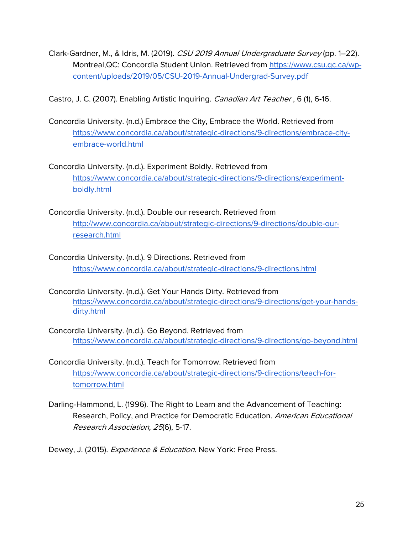Clark-Gardner, M., & Idris, M. (2019). CSU 2019 Annual Undergraduate Survey (pp. 1–22). Montreal,QC: Concordia Student Union. Retrieved from https://www.csu.qc.ca/wpcontent/uploads/2019/05/CSU-2019-Annual-Undergrad-Survey.pdf

Castro, J. C. (2007). Enabling Artistic Inquiring. *Canadian Art Teacher*, 6 (1), 6-16.

Concordia University. (n.d.) Embrace the City, Embrace the World. Retrieved from https://www.concordia.ca/about/strategic-directions/9-directions/embrace-cityembrace-world.html

Concordia University. (n.d.). Experiment Boldly. Retrieved from https://www.concordia.ca/about/strategic-directions/9-directions/experimentboldly.html

Concordia University. (n.d.). Double our research. Retrieved from http://www.concordia.ca/about/strategic-directions/9-directions/double-ourresearch.html

- Concordia University. (n.d.). 9 Directions. Retrieved from https://www.concordia.ca/about/strategic-directions/9-directions.html
- Concordia University. (n.d.). Get Your Hands Dirty. Retrieved from https://www.concordia.ca/about/strategic-directions/9-directions/get-your-handsdirty.html
- Concordia University. (n.d.). Go Beyond. Retrieved from https://www.concordia.ca/about/strategic-directions/9-directions/go-beyond.html
- Concordia University. (n.d.). Teach for Tomorrow. Retrieved from https://www.concordia.ca/about/strategic-directions/9-directions/teach-fortomorrow.html
- Darling-Hammond, L. (1996). The Right to Learn and the Advancement of Teaching: Research, Policy, and Practice for Democratic Education. American Educational Research Association, 25(6), 5-17.

Dewey, J. (2015). Experience & Education. New York: Free Press.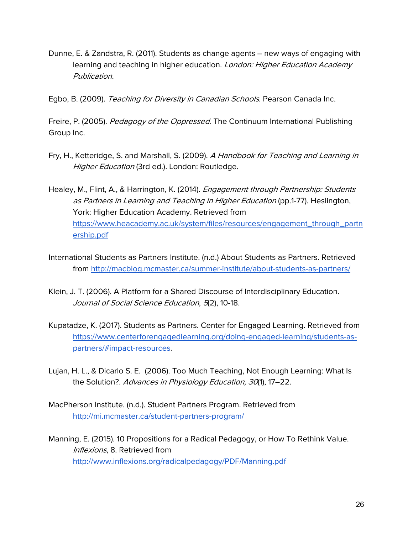Dunne, E. & Zandstra, R. (2011). Students as change agents – new ways of engaging with learning and teaching in higher education. London: Higher Education Academy Publication.

Egbo, B. (2009). Teaching for Diversity in Canadian Schools. Pearson Canada Inc.

Freire, P. (2005). *Pedagogy of the Oppressed*. The Continuum International Publishing Group Inc.

- Fry, H., Ketteridge, S. and Marshall, S. (2009). A Handbook for Teaching and Learning in Higher Education (3rd ed.). London: Routledge.
- Healey, M., Flint, A., & Harrington, K. (2014). *Engagement through Partnership: Students* as Partners in Learning and Teaching in Higher Education (pp.1-77). Heslington, York: Higher Education Academy. Retrieved from https://www.heacademy.ac.uk/system/files/resources/engagement\_through\_partn ership.pdf
- International Students as Partners Institute. (n.d.) About Students as Partners. Retrieved from http://macblog.mcmaster.ca/summer-institute/about-students-as-partners/
- Klein, J. T. (2006). A Platform for a Shared Discourse of Interdisciplinary Education. Journal of Social Science Education, 5(2), 10-18.
- Kupatadze, K. (2017). Students as Partners. Center for Engaged Learning. Retrieved from https://www.centerforengagedlearning.org/doing-engaged-learning/students-aspartners/#impact-resources.
- Lujan, H. L., & Dicarlo S. E. (2006). Too Much Teaching, Not Enough Learning: What Is the Solution?. Advances in Physiology Education, 30(1), 17-22.
- MacPherson Institute. (n.d.). Student Partners Program. Retrieved from http://mi.mcmaster.ca/student-partners-program/
- Manning, E. (2015). 10 Propositions for a Radical Pedagogy, or How To Rethink Value. Inflexions, 8. Retrieved from http://www.inflexions.org/radicalpedagogy/PDF/Manning.pdf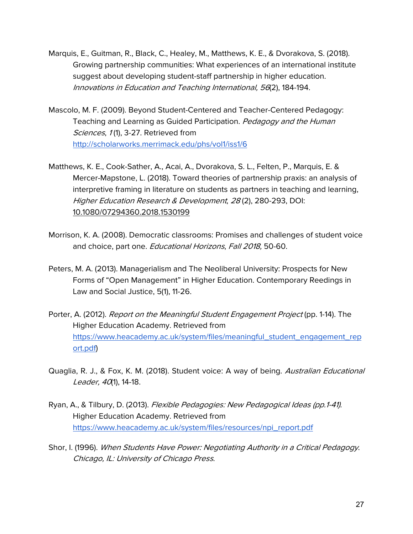- Marquis, E., Guitman, R., Black, C., Healey, M., Matthews, K. E., & Dvorakova, S. (2018). Growing partnership communities: What experiences of an international institute suggest about developing student-staff partnership in higher education. Innovations in Education and Teaching International, 56(2), 184-194.
- Mascolo, M. F. (2009). Beyond Student-Centered and Teacher-Centered Pedagogy: Teaching and Learning as Guided Participation. Pedagogy and the Human Sciences, 1(1), 3-27. Retrieved from http://scholarworks.merrimack.edu/phs/vol1/iss1/6
- Matthews, K. E., Cook-Sather, A., Acai, A., Dvorakova, S. L., Felten, P., Marquis, E. & Mercer-Mapstone, L. (2018). Toward theories of partnership praxis: an analysis of interpretive framing in literature on students as partners in teaching and learning, Higher Education Research & Development, <sup>28</sup> (2), 280-293, DOI: 10.1080/07294360.2018.1530199
- Morrison, K. A. (2008). Democratic classrooms: Promises and challenges of student voice and choice, part one. Educational Horizons, Fall 2018, 50-60.
- Peters, M. A. (2013). Managerialism and The Neoliberal University: Prospects for New Forms of "Open Management" in Higher Education. Contemporary Reedings in Law and Social Justice, 5(1), 11-26.
- Porter, A. (2012). Report on the Meaningful Student Engagement Project (pp. 1-14). The Higher Education Academy. Retrieved from https://www.heacademy.ac.uk/system/files/meaningful\_student\_engagement\_rep ort.pdf)
- Quaglia, R. J., & Fox, K. M. (2018). Student voice: A way of being. Australian Educational Leader, 40(1), 14-18.
- Ryan, A., & Tilbury, D. (2013). Flexible Pedagogies: New Pedagogical Ideas (pp.1-41). Higher Education Academy. Retrieved from https://www.heacademy.ac.uk/system/files/resources/npi\_report.pdf
- Shor, I. (1996). When Students Have Power: Negotiating Authority in a Critical Pedagogy. Chicago, IL: University of Chicago Press.